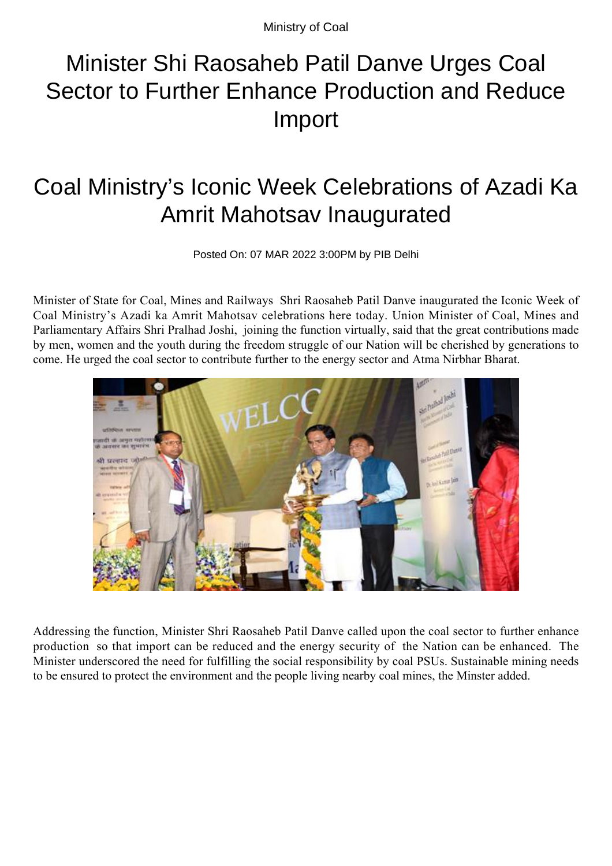Ministry of Coal

## Minister Shi Raosaheb Patil Danve Urges Coal Sector to Further Enhance Production and Reduce Import

## Coal Ministry's Iconic Week Celebrations of Azadi Ka Amrit Mahotsav Inaugurated

Posted On: 07 MAR 2022 3:00PM by PIB Delhi

Minister of State for Coal, Mines and Railways Shri Raosaheb Patil Danve inaugurated the Iconic Week of Coal Ministry's Azadi ka Amrit Mahotsav celebrations here today. Union Minister of Coal, Mines and Parliamentary Affairs Shri Pralhad Joshi, joining the function virtually, said that the great contributions made by men, women and the youth during the freedom struggle of our Nation will be cherished by generations to come. He urged the coal sector to contribute further to the energy sector and Atma Nirbhar Bharat.



Addressing the function, Minister Shri Raosaheb Patil Danve called upon the coal sector to further enhance production so that import can be reduced and the energy security of the Nation can be enhanced. The Minister underscored the need for fulfilling the social responsibility by coal PSUs. Sustainable mining needs to be ensured to protect the environment and the people living nearby coal mines, the Minster added.